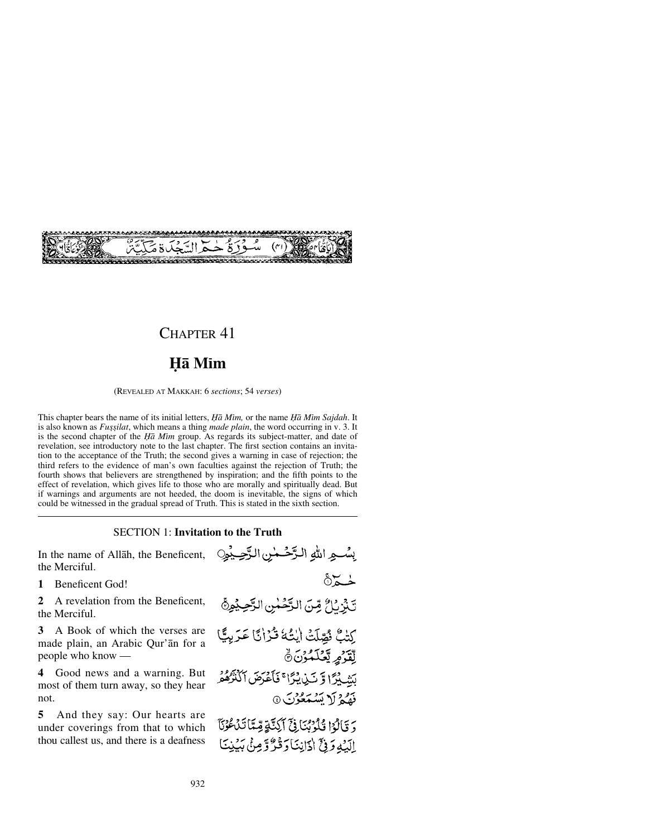

# CHAPTER 41

# **Ïå Mßm**

(REVEALED AT MAKKAH: 6 *sections*; 54 *verses*)

This chapter bears the name of its initial letters, *Ïå Mßm,* or the name *Ïå Mßm Sajdah*. It is also known as *Fussilat*, which means a thing *made plain*, the word occurring in v. 3. It is the second chapter of the *Ha Mim* group. As regards its subject-matter, and date of revelation, see introductory note to the last chapter. The first section contains an invitation to the acceptance of the Truth; the second gives a warning in case of rejection; the third refers to the evidence of man's own faculties against the rejection of Truth; the fourth shows that believers are strengthened by inspiration; and the fifth points to the effect of revelation, which gives life to those who are morally and spiritually dead. But if warnings and arguments are not heeded, the doom is inevitable, the signs of which could be witnessed in the gradual spread of Truth. This is stated in the sixth section.

# SECTION 1: **Invitation to the Truth**

In the name of Allåh, the Beneficent, the Merciful.

**1** Beneficent God!

**2** A revelation from the Beneficent, the Merciful.

**3** A Book of which the verses are made plain, an Arabic Qur'ån for a people who know —

**4** Good news and a warning. But most of them turn away, so they hear not.

**5** And they say: Our hearts are under coverings from that to which thou callest us, and there is a deafness بِسْعِ اللهِ الرَّحْمٰنِ الرَّحِيْوِنِ  $\delta \zeta$ تَبْزِئٌ مِّنَ الرَّحْسِٰ الرَّحِيْمِ ْكِتْبٌ ثُمِّيلَتْ اٰيْتُهُ قُرْانًا عَرَبِيًّا لِقَرْمٍ يَّعْلَمُوْنَ ﴾ لَشَبِيْرًا وَّ نَبْنِ يُرًّا ۚ فَأَعْرَضَ أَكْثَرُهُمْ فَقِيمٌ لَا يَسْتَعُوْنَ ۞ وَقَالُوْا قُلُوْبُنَا فِيَّ آَكِنَّةٍ قِمَّاً تَدْعُوُنَّا الَّبُهِ وَفِيَّ أَدَانِيَّا وَقُدٌّ وَمِنْ بَبِيْنِيَّا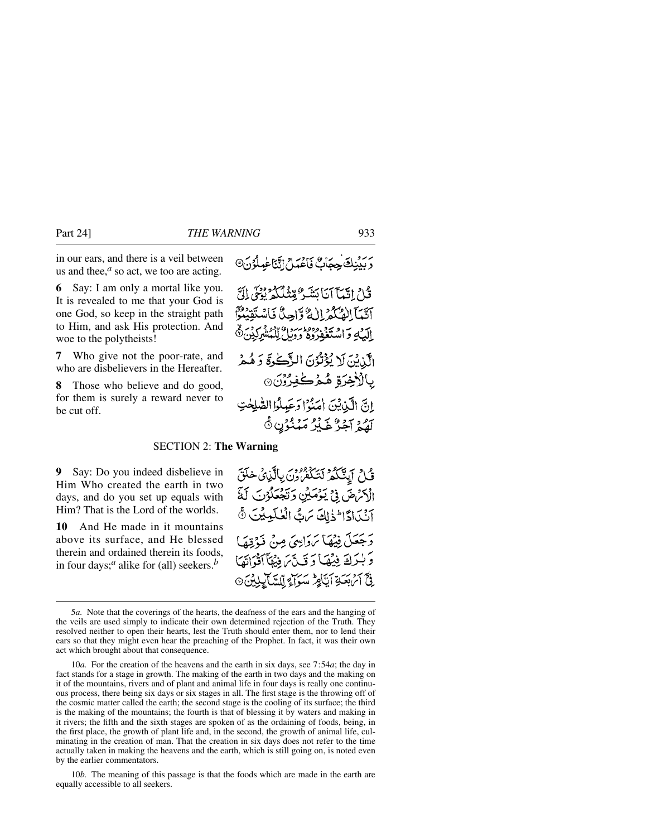in our ears, and there is a veil between us and thee, $<sup>a</sup>$  so act, we too are acting.</sup>

**6** Say: I am only a mortal like you. It is revealed to me that your God is one God, so keep in the straight path to Him, and ask His protection. And woe to the polytheists!

**7** Who give not the poor-rate, and who are disbelievers in the Hereafter.

**8** Those who believe and do good, for them is surely a reward never to be cut off.

دَ بَدْنِكَ حِجَابٌ فَاعْدَاثِي أَنَّنَا عَمِلُوُنَ۞

قْ\ اِتِّيَآ آنَا يَشَرُّ مِّنْذَلَكُمْ يُوْتِحْي إِنَّ آتَيْمَآ الصَّكْمَرْ إِلَٰهُ وَّإِحِيثَ فَاسْتَقِيَنُواْ اليَّٰبُهِ وَاسْتَغْفِرُوهُ وَوَيِّلُ لِّكْمُشْرِكِيْنَ۞ الَّذِيْنَ لَا يُؤْتُوْنَ الزَّكْرِةَ وَهُمْ بِالْأَخِرَةِ هُمْكَفِرُونَ۞ إِنَّ الَّذِينَ إِمَنُوا وَعَبِدُوا الصَّلِحٰتِ لَّهُمْ آَجَرٌ غَيْرُ مَنْنُوْنٍ ﴾

#### SECTION 2: **The Warning**

**9** Say: Do you indeed disbelieve in Him Who created the earth in two days, and do you set up equals with Him? That is the Lord of the worlds.

**10** And He made in it mountains above its surface, and He blessed therein and ordained therein its foods, in four days;*<sup>a</sup>* alike for (all) seekers.*<sup>b</sup>*

قُلْ أَيِنَّكُمْ لَتَكْفُرُونَ بِالَّذِي خَلَقَ الْكِتَرْضَ فِي يَوْمَيْنِ وَتَجْعَلُوْنَ لَهُ آنَكَادًا فَخَلِكَ مَنِّ الْعُلَمِيْنَ ﴾ رَجْعَلَ فِيُهَا بَرَوَاسِيَ مِنْ ذَرْقِهَا وَبْدَكَ فِيْهَا دَتَكَّ مَ فِيهَا آَذْدَاتَهَا **فِيَّ آَئِنِ بَعَدَةِ آَيَّامِرُّ سَوَآَءَ لِّلِسَّآَئِلِيْنَ** @

10*b.* The meaning of this passage is that the foods which are made in the earth are equally accessible to all seekers.

<sup>5</sup>*a.* Note that the coverings of the hearts, the deafness of the ears and the hanging of the veils are used simply to indicate their own determined rejection of the Truth. They resolved neither to open their hearts, lest the Truth should enter them, nor to lend their ears so that they might even hear the preaching of the Prophet. In fact, it was their own act which brought about that consequence.

<sup>10</sup>*a.* For the creation of the heavens and the earth in six days, see 7:54*a*; the day in fact stands for a stage in growth. The making of the earth in two days and the making on it of the mountains, rivers and of plant and animal life in four days is really one continuous process, there being six days or six stages in all. The first stage is the throwing off of the cosmic matter called the earth; the second stage is the cooling of its surface; the third is the making of the mountains; the fourth is that of blessing it by waters and making in it rivers; the fifth and the sixth stages are spoken of as the ordaining of foods, being, in the first place, the growth of plant life and, in the second, the growth of animal life, culminating in the creation of man. That the creation in six days does not refer to the time actually taken in making the heavens and the earth, which is still going on, is noted even by the earlier commentators.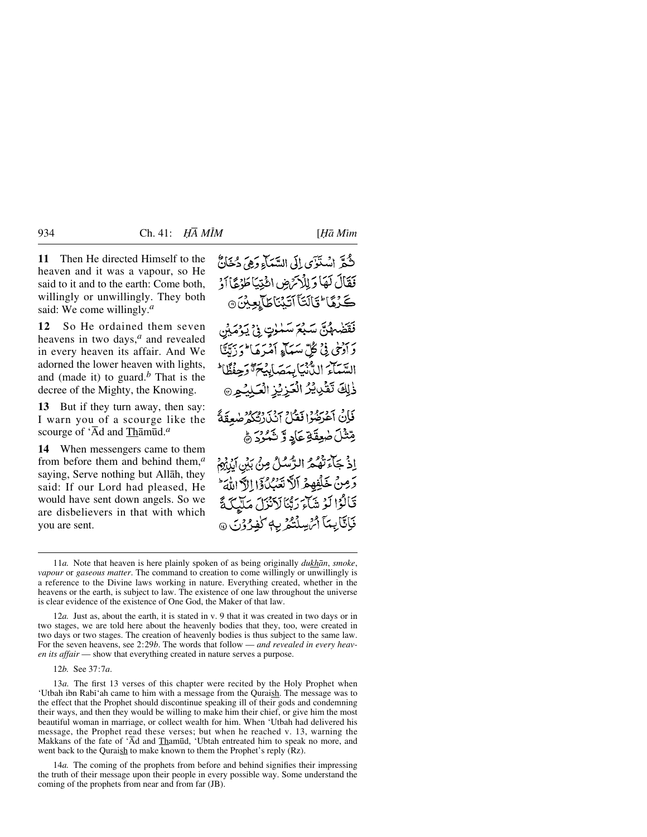**11** Then He directed Himself to the heaven and it was a vapour, so He said to it and to the earth: Come both, willingly or unwillingly. They both said: We come willingly.*<sup>a</sup>*

**12** So He ordained them seven heavens in two days,*<sup>a</sup>* and revealed in every heaven its affair. And We adorned the lower heaven with lights, and (made it) to guard.*<sup>b</sup>* That is the decree of the Mighty, the Knowing.

**13** But if they turn away, then say: I warn you of a scourge like the scourge of 'Ād and Thāmūd.<sup>*a*</sup>

**14** When messengers came to them from before them and behind them,*<sup>a</sup>* saying, Serve nothing but Allåh, they said: If our Lord had pleased, He would have sent down angels. So we are disbelievers in that with which you are sent.

ثَّعَقَ انْسَتَوْيَ إِلَى السَّيِّبَاءِ وَهِيَ دُخَانٌ فَقَالَ لَهَا وَلِلْأَنَّ ضِ ائْتِيَا طَوْعًا أَذْ كَرْهًا كَالَتَآَآتَيْنَاطَآبِعِيْنَ۞ فَقَضْهُنَّ سَبْعَ سَمْوٰتٍ فِي يَوْمَيْن رَ آدْنَى فِيْ كُلِّ سَيَأَءِ آمْيَرَهَا ۖ دَ رَبَّنَّا السَّيَاءَ الدُّنبَابِيَصَابِيُهِمَّ وَجِ ذٰلِكَ تَقْرِيْزُ الْعَزِيْزِ الْعَلِيُّ فَإِنْ آءَ بِرُوْدٍ فَقَبْلَ آنَ زَنْتُكُمْ صُعِقَةً قِتْتُلَ صٰعِقَةِ عَادِ وَ شَمُورَ ﴾ اِذْ جَآءَ تَهُمُّ الرَّسُلُ مِنْ بَيْنِ آيِنِيُمْ دَمِنْ خَلِّفْهِمْ اَلاَّ نَعْبُ كُنَّ الدَّامَاتِيَ ۖ قَالُوْا لَوْ شَآءَ رَبَّنَا لَاَنْزَلَ مَلَّيْكَةً فَأَنَّابِعَاً أَمُ سِلْتُمْرِيهِ لَفِرُوْنَ @

12*a.* Just as, about the earth, it is stated in v. 9 that it was created in two days or in two stages, we are told here about the heavenly bodies that they, too, were created in two days or two stages. The creation of heavenly bodies is thus subject to the same law. For the seven heavens, see 2:29*b*. The words that follow — *and revealed in every heaven its affair* — show that everything created in nature serves a purpose.

12*b.* See 37:7*a*.

13*a.* The first 13 verses of this chapter were recited by the Holy Prophet when 'Utbah ibn Rabi'ah came to him with a message from the Quraish. The message was to the effect that the Prophet should discontinue speaking ill of their gods and condemning their ways, and then they would be willing to make him their chief, or give him the most beautiful woman in marriage, or collect wealth for him. When 'Utbah had delivered his message, the Prophet read these verses; but when he reached v. 13, warning the Makkans of the fate of 'Ad and Thamūd, 'Ubtah entreated him to speak no more, and went back to the Quraish to make known to them the Prophet's reply (Rz).

14*a.* The coming of the prophets from before and behind signifies their impressing the truth of their message upon their people in every possible way. Some understand the coming of the prophets from near and from far (JB).

<sup>11</sup>*a.* Note that heaven is here plainly spoken of as being originally *dukhån*, *smoke*, *vapour* or *gaseous matter*. The command to creation to come willingly or unwillingly is a reference to the Divine laws working in nature. Everything created, whether in the heavens or the earth, is subject to law. The existence of one law throughout the universe is clear evidence of the existence of One God, the Maker of that law.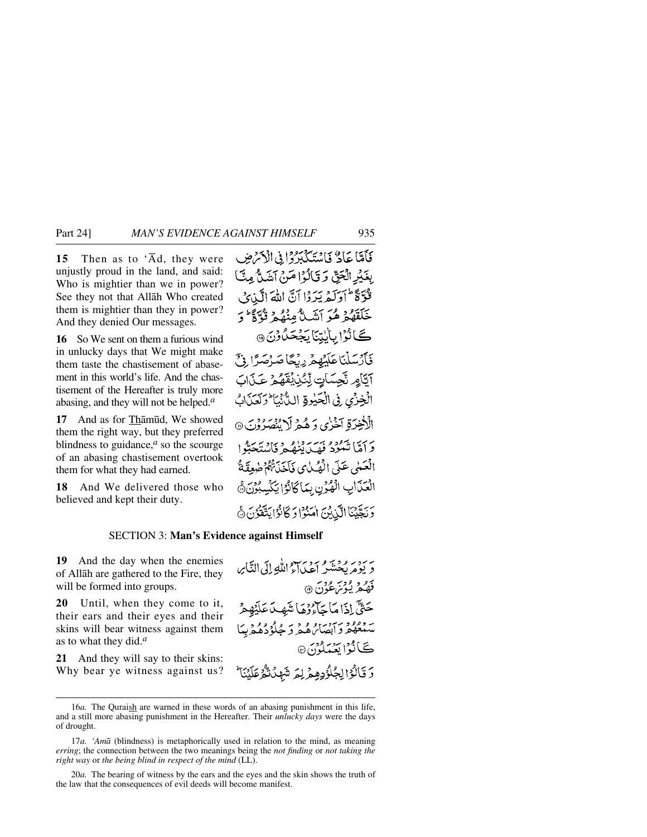**15** Then as to  $\overline{A}d$ , they were unjustly proud in the land, and said: Who is mightier than we in power? See they not that Allåh Who created them is mightier than they in power? And they denied Our messages.

**16** So We sent on them a furious wind in unlucky days that We might make them taste the chastisement of abasement in this world's life. And the chastisement of the Hereafter is truly more abasing, and they will not be helped.*<sup>a</sup>*

**17** And as for Thāmūd, We showed them the right way, but they preferred blindness to guidance, $<sup>a</sup>$  so the scourge</sup> of an abasing chastisement overtook them for what they had earned.

**18** And We delivered those who believed and kept their duty.

فَأَمَّا عَادٌ فَأَسْتَكَبَّرُوْا فِي الْأَحْمَٰضِ بِغَيْرِ الْجَقِّ وَقَالُوْا مَنْ آشَنُّ مِنَّ قُوَّةً أَوَلَّمُ يَرَدُا أَنَّ اللَّهَ الَّذِينَ خَلَقَهُمْ هُوَ أَنْبَ لَّهُ مِنْهُمْ قُوَّةً ۚ وَ كَانْزُا بِأَيْتِنَا بَجْحَلُّوْنَ @ فَأَرْسَلْنَاعَلَنۡهِمۡ رِبۡكَا صَرۡصَرًٗا ۚ ذِيۡ آيَّامِ نَّجِسَاتٍ لِّنُزِنِيَّقَهُمْ عَـزَاتَ الْخِزْى فِي الْحَيْوةِ اللَّهُ بِبَا وَلَعَنَابُ الْأَخِيرَةِ آخَرُ بِي دَ هُمْ لَا يُنْصَرُوْنَ ۞ دَ أَمَّا نَبْعُوْهُ مَهْسَدَةٍ! وَ فَاسْتَحَتَّوا الْعَمْى عَلَى الْهُبْنِي فَآخَذَةٌهُمْ صٰعِقَةٌ الْعَذَابِ الْهُوُنِ بِيَاكَانُوْا يَكْسِبُوْنَ﴾ وَتَجَّيْنَا الَّذِيْنَ امْنُوْا وَكَانُوْا يَتَقَوُّنَ ﴾

# SECTION 3: **Man's Evidence against Himself**

**19** And the day when the enemies of Allåh are gathered to the Fire, they will be formed into groups.

**20** Until, when they come to it, their ears and their eyes and their skins will bear witness against them as to what they did.*<sup>a</sup>*

**21** And they will say to their skins: Why bear ye witness against us? سرديه وجي و سرح ديد.<br>و يوه بحشير اعداء الله إلى التَّابِر فَهْكُمْ يُؤْمَنَ عُوْنَ ۞ حَتَّىٰ إِذَا مَا حَآءُ ذِهَا شَهِيدَ عَلَيْهِ مِرْ یه دود دستوراه و د خلوده دیدا ڪَ ٽُوُ اِ بَعْبَدَگونَ @ 5 قَالُوْٓا لِجُلُّوۡدِهِمۡ لِمَ شَهۡدُتُّهُ عَلَيۡنَا ۖ

<sup>16</sup>*a.* The Quraish are warned in these words of an abasing punishment in this life, and a still more abasing punishment in the Hereafter. Their *unlucky days* were the days of drought.

<sup>17</sup>*a. 'Amå* (blindness) is metaphorically used in relation to the mind, as meaning *erring*; the connection between the two meanings being the *not finding* or *not taking the right way* or *the being blind in respect of the mind* (LL).

<sup>20</sup>*a.* The bearing of witness by the ears and the eyes and the skin shows the truth of the law that the consequences of evil deeds will become manifest.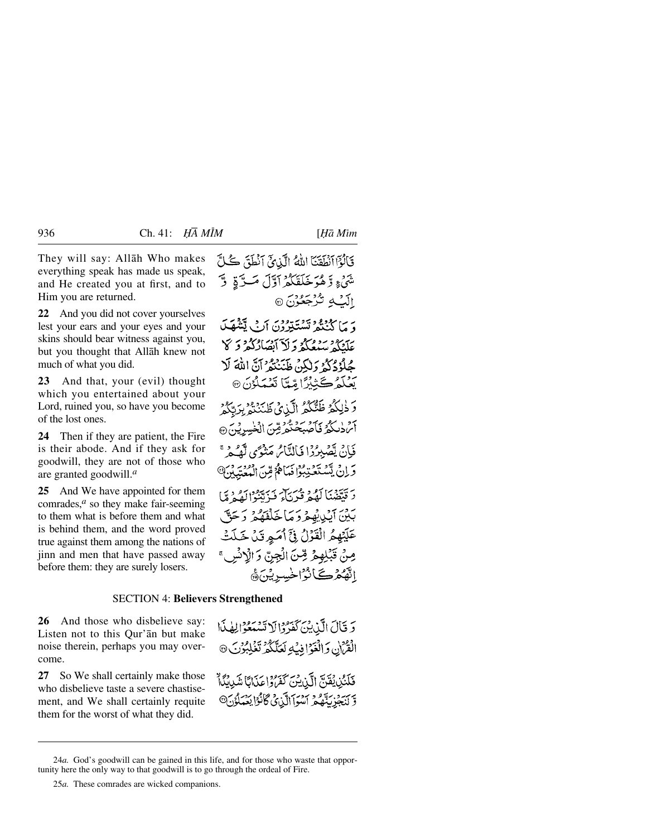They will say: Allåh Who makes everything speak has made us speak, and He created you at first, and to Him you are returned.

**22** And you did not cover yourselves lest your ears and your eyes and your skins should bear witness against you, but you thought that Allåh knew not much of what you did.

**23** And that, your (evil) thought which you entertained about your Lord, ruined you, so have you become of the lost ones.

**24** Then if they are patient, the Fire is their abode. And if they ask for goodwill, they are not of those who are granted goodwill.*<sup>a</sup>*

**25** And We have appointed for them comrades,*<sup>a</sup>* so they make fair-seeming to them what is before them and what is behind them, and the word proved true against them among the nations of jinn and men that have passed away before them: they are surely losers.

قَالُوْٓا ٱنْطَقَنَا اللَّهُ الَّذِينَ ٱنْطَقَ كُلَّ شَيۡءٍ وَّهُوَخَلَقَكُمۡ آوَّلَ مَسَدَّةٍ ۚ وَّ إِلَيْكِ تُرْجَعُوْنَ ۞

وَ مَا كَنْتُمْرِ تَسْتَتِرْدُنَ أَنْ يَتَنْهَكَ عَلَّنْكُمْ سَيُعْكُمْ وَلَاَ أَبْصَارُكُمْ وَكَلَّ جُلُوْدُكُمْ وَلٰكِنَّ ظَنَنْتُمْ ٱنَّ اللَّهَ لَا يَعْلَمُ ڪَٽِبُرًّا مِّيَّا تَعْمَلُوْنَ ۞

وَ ذٰلِكُمْ ظَنُّكُمُ الَّذِيۡ ظَنَنۡتُمۡ بِرَتَّكُمۡ أَمَ دٰلَكُمْ فَأَصْبَحْتُمْ مِّنَ الْخَسِرِيْنَ ۞ فَإِنْ يَصْدِرُدُا فِيَالِيَّاسُ مَنْدَسَى لَّعْدِمٍ مِّ وَإِنْ يَسْتَعْبَبُوْا فَيَاهُمْ مِّنَ الْمُعْتَبِيْنَ@ دَ قَيْقَهُنَّا كَوْمٍ قُدْيَاءَ فَيَ تَنْبُوا كَفَيْ مَّا بَيْنَ آيْدِيْهُعْرُدَ مَاخَلْفَهُمْ رَحَقٌ عَلَيْهِمُ الْقَوْلُ فِيٍّ أُمَيِرِ تَنْ خَلَتْ مِنْ قَبْلِهِمْ قِنَ الْجِنِّ وَالْإِنْسِ ۚ الفَّحْرُكَانُوْاخْسِرِيْنَ﴾

#### SECTION 4: **Believers Strengthened**

**26** And those who disbelieve say: Listen not to this Qur'ån but make noise therein, perhaps you may overcome.

**27** So We shall certainly make those who disbelieve taste a severe chastisement, and We shall certainly requite them for the worst of what they did.

وَ قَالَ الَّذِينَ كَفَرُّوْالَا تَسْهَعُوْالِهِذَا الْقُرْآنِ وَالْغَوْافِيَةِ لَعَلَّكُمْ تَغْلِبُوْنَ @

فَلَنُّنِ يُقَنَّ الَّذِينَ كَفَرَ وَاعَذَانَا شَدِينُكَا وَسَيَدْ سَيَّدُّعْ آَسْوَآَالَّيْنِيُّ ݣَانْوَا يَعْمَلُوْنَ®

<sup>24</sup>*a.* God's goodwill can be gained in this life, and for those who waste that opportunity here the only way to that goodwill is to go through the ordeal of Fire.

<sup>25</sup>*a.* These comrades are wicked companions.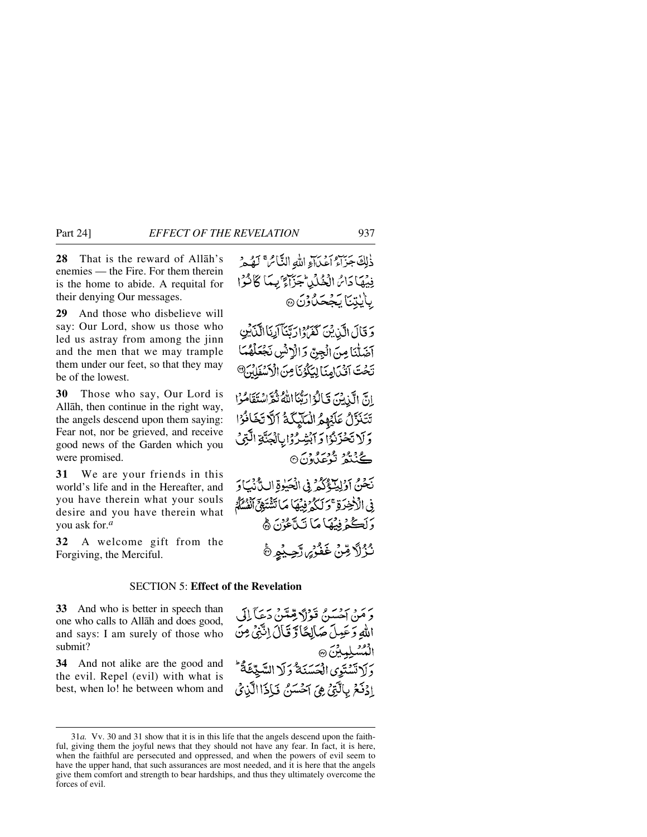**28** That is the reward of Allåh's enemies — the Fire. For them therein is the home to abide. A requital for their denying Our messages.

**29** And those who disbelieve will say: Our Lord, show us those who led us astray from among the jinn and the men that we may trample them under our feet, so that they may be of the lowest.

**30** Those who say, Our Lord is Allåh, then continue in the right way, the angels descend upon them saying: Fear not, nor be grieved, and receive good news of the Garden which you were promised.

**31** We are your friends in this world's life and in the Hereafter, and you have therein what your souls desire and you have therein what you ask for.*<sup>a</sup>*

**32** A welcome gift from the Forgiving, the Merciful.

ذٰلِكَ جَزَاءُ أَعَيْنَاءِ اللَّهِ النَّائِمَ ۚ لَهُ هُرُ فِيْهَا دَائِرُ الْخُلُّلِ جَزَاءٌ يِّعَا كَانَّوْا باينتنا بَجْحَلُونَ @

وَقَالَ الَّذِينَ كَفَرُوْارَبَّنَا اَلِّنَاالَّذَيْنِ آضَلْنَا مِنَ الْجِنِّ وَالْإِنْسِ نَجْعَلْهُمَا تَحْتَ آقَٰنَ امِنَا لِيَكُوُنَا مِنَ الْأَسْفَلُهُ

انَّ الَّذِينَ قَالَةُ ارَبُّنَا اللَّهُ ثُمَّ اسْتَقَامُوْا تَتَنَزَّلُ عَلَيْهِمُ الْمَلَيْكَةُ آلَّا تَخَافُوْا وَلَا تَحْزَنُوْا وَآبَتْ رُوَايالَهَنَّةِ الَّتِي ڪينگر ٿوعدون©

نَحْنُ آوَلِيَكَّذُكُمْ فِي الْحَيْوةِ اللَّانُيَاوَ فِي الْأَخِرَةِ ۚ وَلَٰكُمۡ فِيۡهَا مَا تَشۡتَهِيۡٓ ٱنۡشُلَٰمَ ۗ دَلَكْمُ فِيْهَا مَا نَآَءُيْنَ ﴾ نُزُلَّا مِّنْ غَفْرَيْ رَّحِيْهِ ۞

# SECTION 5: **Effect of the Revelation**

**33** And who is better in speech than one who calls to Allåh and does good, and says: I am surely of those who submit?

**34** And not alike are the good and the evil. Repel (evil) with what is best, when lo! he between whom and

وَمَنْ آِحَسَنُ قَوْلًا قِمَّتَنْ دَعَاً لِلَ اللهِ وَعَيِيلَ صَالِحًا وَّ قَالَ اِنَّتِيَ مِنَ المُسْلِمِينَ ٢ دَلَاتَسْتَوِي الْحَسَنَةُ دَلَا السَّيِّئَةُ ۖ إِذْفَحَ بِالَّتِيِّ هِيَ آَحْسَنُ فَإِذَا الَّذِيْ

<sup>31</sup>*a.* Vv. 30 and 31 show that it is in this life that the angels descend upon the faithful, giving them the joyful news that they should not have any fear. In fact, it is here, when the faithful are persecuted and oppressed, and when the powers of evil seem to have the upper hand, that such assurances are most needed, and it is here that the angels give them comfort and strength to bear hardships, and thus they ultimately overcome the forces of evil.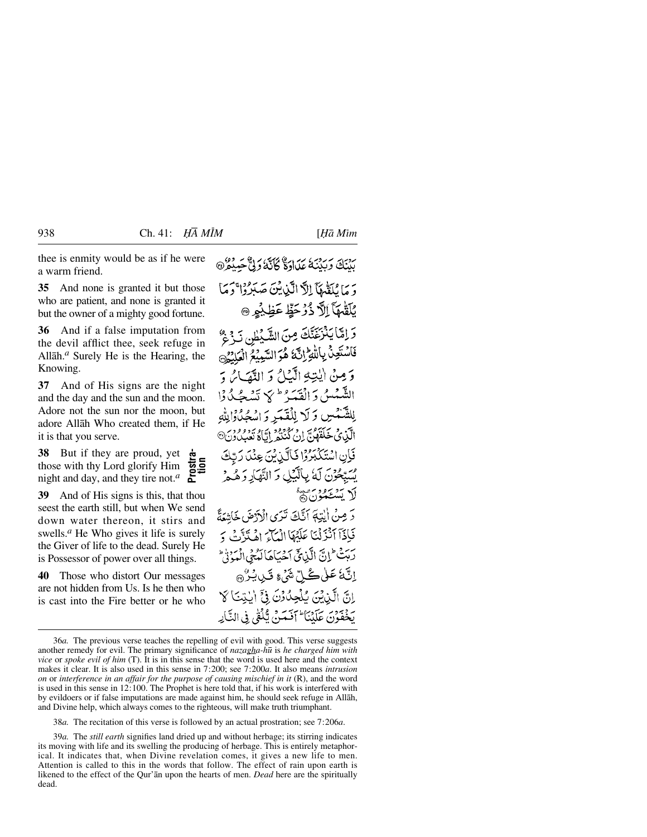thee is enmity would be as if he were a warm friend.

**35** And none is granted it but those who are patient, and none is granted it but the owner of a mighty good fortune.

**36** And if a false imputation from the devil afflict thee, seek refuge in Allåh.*<sup>a</sup>* Surely He is the Hearing, the Knowing.

**37** And of His signs are the night and the day and the sun and the moon. Adore not the sun nor the moon, but adore Allåh Who created them, if He it is that you serve.

**38** But if they are proud, yet those with thy Lord glorify Him night and day, and they tire not.*<sup>a</sup>* **Prostra- tion**

**39** And of His signs is this, that thou seest the earth still, but when We send down water thereon, it stirs and swells.*<sup>a</sup>* He Who gives it life is surely the Giver of life to the dead. Surely He is Possessor of power over all things.

**40** Those who distort Our messages are not hidden from Us. Is he then who is cast into the Fire better or he who رب بردي بر اردي كاند كرام .<br>بِيْنَكَ وَبَيْنَهُ عَلَىٰاوَةٌ كَانَّهُ وَلِيٌّ حَمِيْهِ ۞

وَ مَا يُلَقَّدِهَآ إِلاَّ الَّيْنِ ثَيْنَ صَدَرُوْا ۚ دَ مَا يُلَقُّهَآ إِلاَّ ذُرۡ حَظٍّ عَظِيْمٍ ۞ وَ إِمَّا يَنْزَغَنَّكَ مِنَ الشَّيْطُنِ نَرْجٌ فَاسْتَعِنْ بِاللَّهِ إِنَّ هُوَ السَّمِيْعُ الْعَلِيْمُ وَمِنْ الْبَيْهِ الْكَاثِرِ وَ النَّصَائِرِ وَ الشَّيْسُيُّ وَالْقَبَّرُ <sup>ط</sup>ِيَبِهِ السَّكْبُدُوْا لِلشَّمْسِ وَلَا لِلْقَمَرِ وَاسْجُلُوْالِلُهِ الَّذِي خَلَقَهُنَّ إِنْ كُنْنُو إِنَّاهُ تَعْبُدُ وَنَ® فَإِنِ اسْتَكْبَرُوْا فَالَّذِينَ عِنْدَ رَبِّكَ بِسَيْحُوْنَ لَهُ بِبِٱلْبَيْلِ وَ النَّهَارِ وَ هُ هُ لَا يَتَنْتَخَبُّوْنَ۞ دَ مِنْ إِيْتِهَ أَنَّكَ تَدَى الْأَدْضَ خَاشِعَةً فَبِأَذَآ أَنْزَلْنَا عَلَيْهَآ الْمَآءَ إِهْلَدَّتَنَ وَ ربتُ إِنَّ الَّذِيحَ سَنِيَاهَا لَهُ فِي الْمَوْنِي اِنَّةُ عَلَى كُلِّ شَيْءٍ قَيْلٍ بُنْ هِ انَّ الَّذِيْنَ بِّلْحِدُوْنَ فِيَّ الْتِيَاكَ رَجْعَةٍ بِنَ عَلَيْنَا ۖ آفَعَيْنَ تَكَفَّىٰ فِي النَّبَايِهِ

38*a.* The recitation of this verse is followed by an actual prostration; see 7:206*a*.

39*a.* The *still earth* signifies land dried up and without herbage; its stirring indicates its moving with life and its swelling the producing of herbage. This is entirely metaphorical. It indicates that, when Divine revelation comes, it gives a new life to men. Attention is called to this in the words that follow. The effect of rain upon earth is likened to the effect of the Qur'ån upon the hearts of men. *Dead* here are the spiritually dead.

<sup>36</sup>*a.* The previous verse teaches the repelling of evil with good. This verse suggests another remedy for evil. The primary significance of *nazagha-h∂* is *he charged him with vice* or *spoke evil of him* (T). It is in this sense that the word is used here and the context makes it clear. It is also used in this sense in 7:200; see 7:200*a*. It also means *intrusion on* or *interference in an affair for the purpose of causing mischief in it* (R), and the word is used in this sense in 12:100. The Prophet is here told that, if his work is interfered with by evildoers or if false imputations are made against him, he should seek refuge in Allåh, and Divine help, which always comes to the righteous, will make truth triumphant.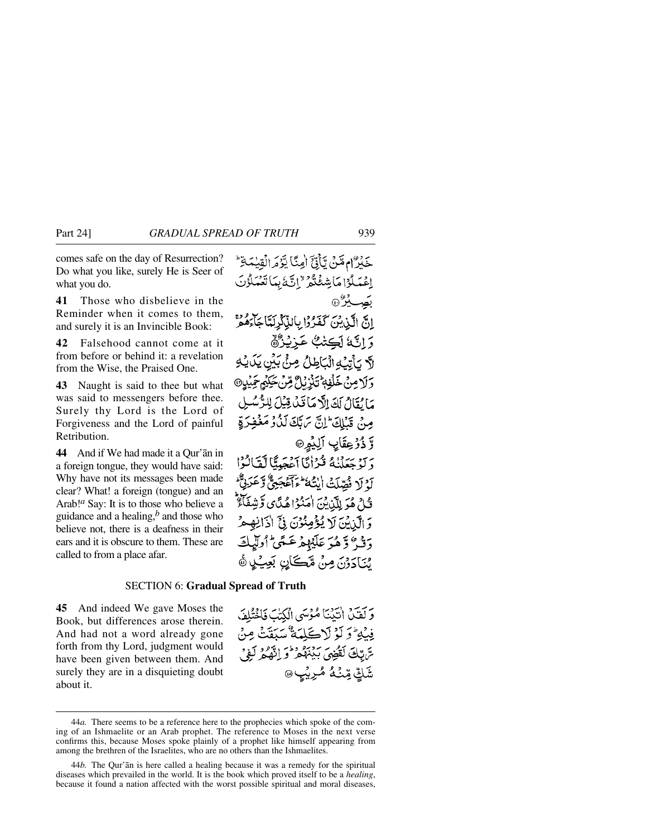comes safe on the day of Resurrection? Do what you like, surely He is Seer of what you do.

**41** Those who disbelieve in the Reminder when it comes to them, and surely it is an Invincible Book:

**42** Falsehood cannot come at it from before or behind it: a revelation from the Wise, the Praised One.

**43** Naught is said to thee but what was said to messengers before thee. Surely thy Lord is the Lord of Forgiveness and the Lord of painful Retribution.

**44** And if We had made it a Qur'ån in a foreign tongue, they would have said: Why have not its messages been made clear? What! a foreign (tongue) and an Arab!*<sup>a</sup>* Say: It is to those who believe a guidance and a healing,*<sup>b</sup>* and those who believe not, there is a deafness in their ears and it is obscure to them. These are called to from a place afar.

حَكِرٌ ام مَّنْ يِّأَنَّ أَمِنًا يَزْمَرالُقِيٰمَةِ ۖ اغْدَلُوْاهَاشِفْتُوْ "اتَّدَّبْدَاتْغَدَلُوْنَ بَصِبِيْرٌ۞ انَّ الَّذِيْنَ كَفَرُوْا بِالذَّكْرِلَةَاجَاءَهُمْ وَ إِنَّهُ لَكِتْبٌ عَزِيْنُهُمْ لَهَ يَأْتِيْهِ الْيَاطِلُ صِنْ بَيْنِ يَدَيْهِ دَ لَا مِنْ خَلْفةٌ تَذْرُ لِيٌّ قِنْ جَبِيْهِ جَهْزٍ مَا يُقَالُ لَكَ إِلَّا مَا قَبْلُ قِيْلَ لِلرُّسُ مِنْ قَبْلِكَ إِنَّ يَهَلَّكَ لَذُوْ مَغْفِ وَّذُرُعِقَابِ الِيُمِرِ® دَ لَهُ حَعَلْنَاهُ قُدْأَنَّا أَعْجَمِيًّا لَقَالُوْا أَوْ لَا فُصِّلَتْ أَيْتُهُ ۖ وَآَعَجَبِيٌّ وَعَزَنِيٌّ فَيْلٌ هُوَ لِلَّذِينَ اٰمَنُوْا هُدًّى وَشِفَاءٌ وَ الَّذِيْنَ لَا يُؤْمِنُوْنَ فِيَّ اٰذَانِهِ حَرَّ دَ فَيْ وَهُدَ عَلَيْهِمْ عَسَى أُولَدٍ يُنَادَرْنَ مِنْ مَّڪَانِ بَعِيْكِي هُ

وَكَفَنْ انْتَنْتَا مُؤْسَى الْكُتْبَ فَالْحُثْلُفَ فِيْهِ ۚ وَ لَوۡ لَا كَلِمَةٌ سَيَقَتۡ مِنۡ تريبُكَ لَقَضِيَ بَيْنَهُمْ وَ اِنَّهُمْ لَفِي

شَكَّ مِّنْـهُ مُّرِيْبٍ

#### SECTION 6: **Gradual Spread of Truth**

**45** And indeed We gave Moses the Book, but differences arose therein. And had not a word already gone forth from thy Lord, judgment would have been given between them. And surely they are in a disquieting doubt about it.

<sup>44</sup>*a.* There seems to be a reference here to the prophecies which spoke of the coming of an Ishmaelite or an Arab prophet. The reference to Moses in the next verse confirms this, because Moses spoke plainly of a prophet like himself appearing from among the brethren of the Israelites, who are no others than the Ishmaelites.

<sup>44</sup>*b.* The Qur'ån is here called a healing because it was a remedy for the spiritual diseases which prevailed in the world. It is the book which proved itself to be a *healing*, because it found a nation affected with the worst possible spiritual and moral diseases,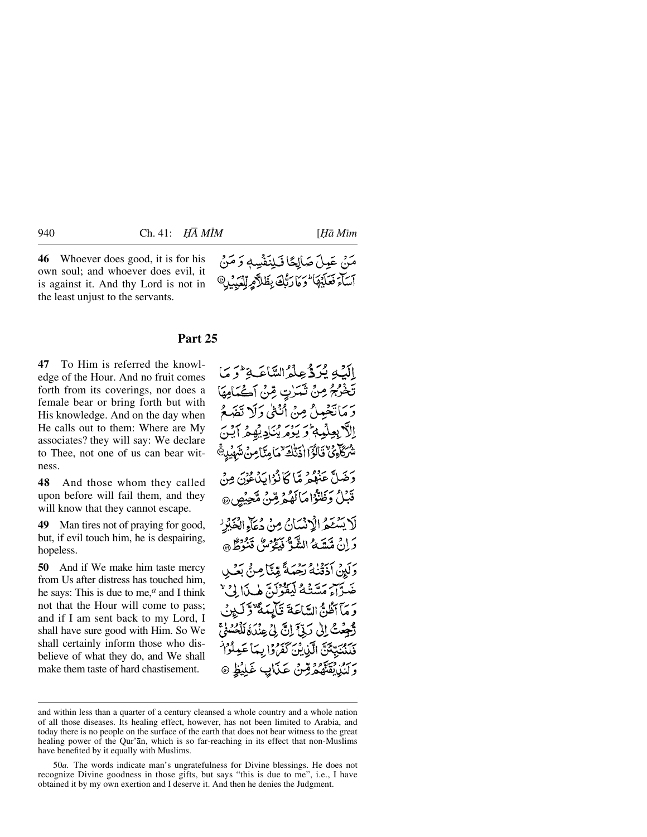**46** Whoever does good, it is for his own soul; and whoever does evil, it is against it. And thy Lord is not in the least unjust to the servants.

مَنْ عَمِلَ صَالِحًا فَـلِنَفْسِهِ وَ مَنْ أسآء فعليها ارائك بظلاهر للعبد

#### **Part 25**

**47** To Him is referred the knowledge of the Hour. And no fruit comes forth from its coverings, nor does a female bear or bring forth but with His knowledge. And on the day when He calls out to them: Where are My associates? they will say: We declare to Thee, not one of us can bear witness.

**48** And those whom they called upon before will fail them, and they will know that they cannot escape.

**49** Man tires not of praying for good, but, if evil touch him, he is despairing, hopeless.

**50** And if We make him taste mercy from Us after distress has touched him, he says: This is due to me,*<sup>a</sup>* and I think not that the Hour will come to pass; and if I am sent back to my Lord, I shall have sure good with Him. So We shall certainly inform those who disbelieve of what they do, and We shall make them taste of hard chastisement.

الَّذِي يُرَدُّ عِلْمُ السَّاعَةِ لَّ مَا تَخْرُجُ مِنْ ثَمَرْتِ مِّنْ أَكْمَامِهَا وَ مَانْغَصِلْ مِنْ أَنْفَىٰ دَلَا تَفَهَعُ إلَّا بِعِلْمِهِ وَيَوْمَ يُنَادِيْهِمْ آيْنَ شُرْكَاءِ فَاتَّقَالُوْٓا اٰذَتَّاكَةَ كَمَامِتَنَامِ دَخَيلٌ عَنْدُهِ مِيّاً كَانُوْا بِدَهِ وَدِيَ مِنْ قَبْلُ وَظَنَّوْاهَا لَهُمْ قِنْ مَّحِيْصٍ لَا يَسْتَعْرُ الْإِنْسَانُ مِنْ دُعَاءِ الْغَيْرِ دَ إِنْ مَّسَّدَكُمُ الشَّوُّ فَيَكُوسُ قَنُوطٌ ۞ دِ لَيِنْ أَذَقَنٰهُ بِحْبَيَةً مِّيَّا مِنْ بَعْبِ ضَرَّاءَ مَسَّتْهُ لَيَقُوْلَنَّ هٰذَا لِيٌّ وَ مَآ أَظُنُّ السَّاعَةَ قَالِمَةً نَوۡ لَـٰ بِنُّ تَّحْصَٰتُ إِلَىٰ رَبِّئَ إِنَّ لِىُ عِنْدَةُ لَلْحُسُوْعَ فَلَنْنَبِّئَنَّ الَّذِينَ كَفَرُوْا بِمَا عَمِلُوْا رَبَّنْ يُقَنَّهُمُ قِنْ عَذَابٍ غَلِيْظٍ ۞

and within less than a quarter of a century cleansed a whole country and a whole nation of all those diseases. Its healing effect, however, has not been limited to Arabia, and today there is no people on the surface of the earth that does not bear witness to the great healing power of the Qur'ån, which is so far-reaching in its effect that non-Muslims have benefited by it equally with Muslims.

<sup>50</sup>*a.* The words indicate man's ungratefulness for Divine blessings. He does not recognize Divine goodness in those gifts, but says "this is due to me", i.e., I have obtained it by my own exertion and I deserve it. And then he denies the Judgment.